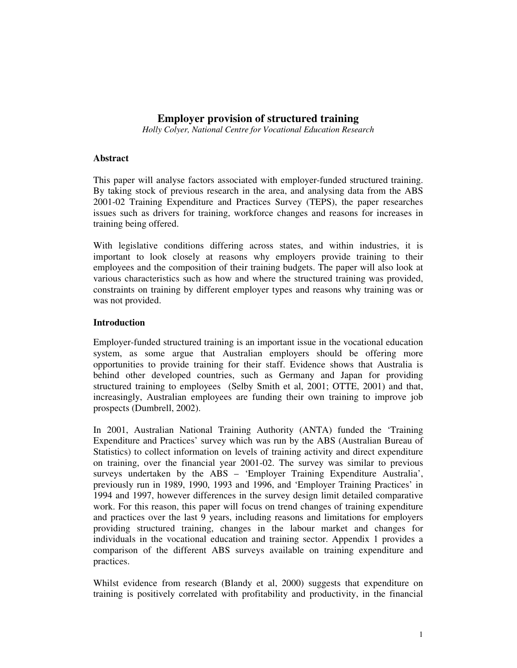# **Employer provision of structured training**

*Holly Colyer, National Centre for Vocational Education Research*

## **Abstract**

This paper will analyse factors associated with employer-funded structured training. By taking stock of previous research in the area, and analysing data from the ABS 2001-02 Training Expenditure and Practices Survey (TEPS), the paper researches issues such as drivers for training, workforce changes and reasons for increases in training being offered.

With legislative conditions differing across states, and within industries, it is important to look closely at reasons why employers provide training to their employees and the composition of their training budgets. The paper will also look at various characteristics such as how and where the structured training was provided, constraints on training by different employer types and reasons why training was or was not provided.

# **Introduction**

Employer-funded structured training is an important issue in the vocational education system, as some argue that Australian employers should be offering more opportunities to provide training for their staff. Evidence shows that Australia is behind other developed countries, such as Germany and Japan for providing structured training to employees (Selby Smith et al, 2001; OTTE, 2001) and that, increasingly, Australian employees are funding their own training to improve job prospects (Dumbrell, 2002).

In 2001, Australian National Training Authority (ANTA) funded the 'Training Expenditure and Practices' survey which was run by the ABS (Australian Bureau of Statistics) to collect information on levels of training activity and direct expenditure on training, over the financial year 2001-02. The survey was similar to previous surveys undertaken by the ABS – 'Employer Training Expenditure Australia', previously run in 1989, 1990, 1993 and 1996, and 'Employer Training Practices' in 1994 and 1997, however differences in the survey design limit detailed comparative work. For this reason, this paper will focus on trend changes of training expenditure and practices over the last 9 years, including reasons and limitations for employers providing structured training, changes in the labour market and changes for individuals in the vocational education and training sector. Appendix 1 provides a comparison of the different ABS surveys available on training expenditure and practices.

Whilst evidence from research (Blandy et al, 2000) suggests that expenditure on training is positively correlated with profitability and productivity, in the financial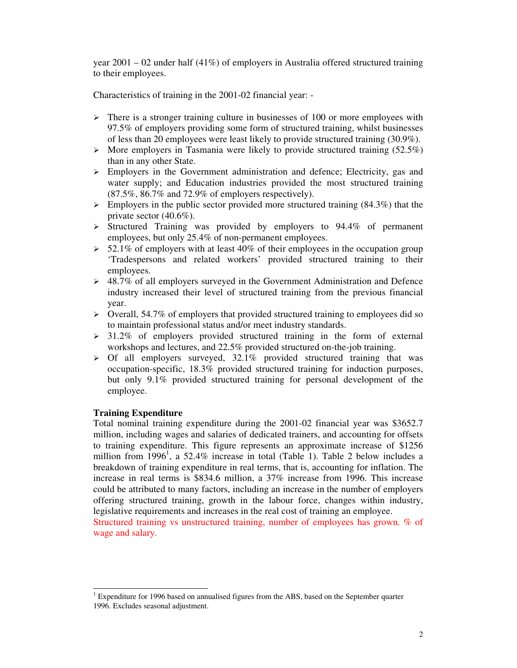year  $2001 - 02$  under half  $(41\%)$  of employers in Australia offered structured training to their employees.

Characteristics of training in the 2001-02 financial year: -

- $\triangleright$  There is a stronger training culture in businesses of 100 or more employees with 97.5% of employers providing some form of structured training, whilst businesses of less than 20 employees were least likely to provide structured training (30.9%).
- $\triangleright$  More employers in Tasmania were likely to provide structured training (52.5%) than in any other State.
- $\triangleright$  Employers in the Government administration and defence; Electricity, gas and water supply; and Education industries provided the most structured training (87.5%, 86.7% and 72.9% of employers respectively).
- $\triangleright$  Employers in the public sector provided more structured training (84.3%) that the private sector (40.6%).
- $\triangleright$  Structured Training was provided by employers to 94.4% of permanent employees, but only 25.4% of non-permanent employees.
- $>$  52.1% of employers with at least 40% of their employees in the occupation group 'Tradespersons and related workers' provided structured training to their employees.
- $\geq$  48.7% of all employers surveyed in the Government Administration and Defence industry increased their level of structured training from the previous financial year.
- $\triangleright$  Overall, 54.7% of employers that provided structured training to employees did so to maintain professional status and/or meet industry standards.
- $> 31.2\%$  of employers provided structured training in the form of external workshops and lectures, and 22.5% provided structured on-the-job training.
- $\geq$  Of all employers surveyed, 32.1% provided structured training that was occupation-specific, 18.3% provided structured training for induction purposes, but only 9.1% provided structured training for personal development of the employee.

# **Training Expenditure**

Total nominal training expenditure during the 2001-02 financial year was \$3652.7 million, including wages and salaries of dedicated trainers, and accounting for offsets to training expenditure. This figure represents an approximate increase of \$1256 million from 1996<sup>1</sup>, a 52.4% increase in total (Table 1). Table 2 below includes a breakdown of training expenditure in real terms, that is, accounting for inflation. The increase in real terms is \$834.6 million, a 37% increase from 1996. This increase could be attributed to many factors, including an increase in the number of employers offering structured training, growth in the labour force, changes within industry, legislative requirements and increases in the real cost of training an employee.

Structured training vs unstructured training, number of employees has grown. % of wage and salary.

<sup>&</sup>lt;sup>1</sup> Expenditure for 1996 based on annualised figures from the ABS, based on the September quarter 1996. Excludes seasonal adjustment.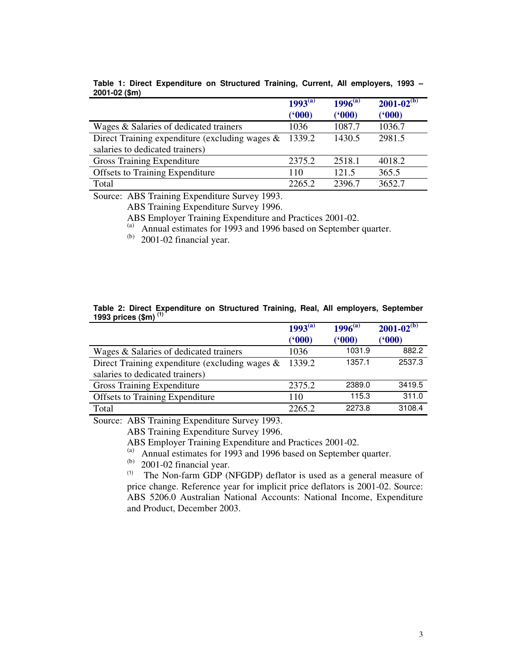|                                                   | $1993^{(a)}$ | $1996^{(a)}$ | $2001 - 02^{(b)}$ |
|---------------------------------------------------|--------------|--------------|-------------------|
|                                                   | (600)        | (600)        | (900)             |
| Wages & Salaries of dedicated trainers            | 1036         | 1087.7       | 1036.7            |
| Direct Training expenditure (excluding wages $\&$ | 1339.2       | 1430.5       | 2981.5            |
| salaries to dedicated trainers)                   |              |              |                   |
| Gross Training Expenditure                        | 2375.2       | 2518.1       | 4018.2            |
| <b>Offsets to Training Expenditure</b>            | 110          | 121.5        | 365.5             |
| Total                                             | 2265.2       | 2396.7       | 3652.7            |

**Table 1: Direct Expenditure on Structured Training, Current, All employers, 1993 – 2001-02 (\$m)**

Source: ABS Training Expenditure Survey 1993.

ABS Training Expenditure Survey 1996.

ABS Employer Training Expenditure and Practices 2001-02.<br>(a) Annual estimates for 1993 and 1996 based on September.

Annual estimates for 1993 and 1996 based on September quarter.

 $(b)$  2001-02 financial year.

|                                                   | $1993^{(a)}$ | $1996^{(a)}$ | $2001 - 02^{(b)}$ |
|---------------------------------------------------|--------------|--------------|-------------------|
|                                                   | (900)        | (600)        | (900)             |
| Wages & Salaries of dedicated trainers            | 1036         | 1031.9       | 882.2             |
| Direct Training expenditure (excluding wages $\&$ | 1339.2       | 1357.1       | 2537.3            |
| salaries to dedicated trainers)                   |              |              |                   |
| <b>Gross Training Expenditure</b>                 | 2375.2       | 2389.0       | 3419.5            |
| <b>Offsets to Training Expenditure</b>            | 110          | 115.3        | 311.0             |
| Total                                             | 2265.2       | 2273.8       | 3108.4            |

**Table 2: Direct Expenditure on Structured Training, Real, All employers, September 1993 prices (\$m) (1)**

Source: ABS Training Expenditure Survey 1993.

ABS Training Expenditure Survey 1996.

ABS Employer Training Expenditure and Practices 2001-02.<br>(a) Annual estimates for 1993 and 1996 based on September.

Annual estimates for 1993 and 1996 based on September quarter.

(b) 2001-02 financial year.

(1) The Non-farm GDP (NFGDP) deflator is used as a general measure of price change. Reference year for implicit price deflators is 2001-02. Source: ABS 5206.0 Australian National Accounts: National Income, Expenditure and Product, December 2003.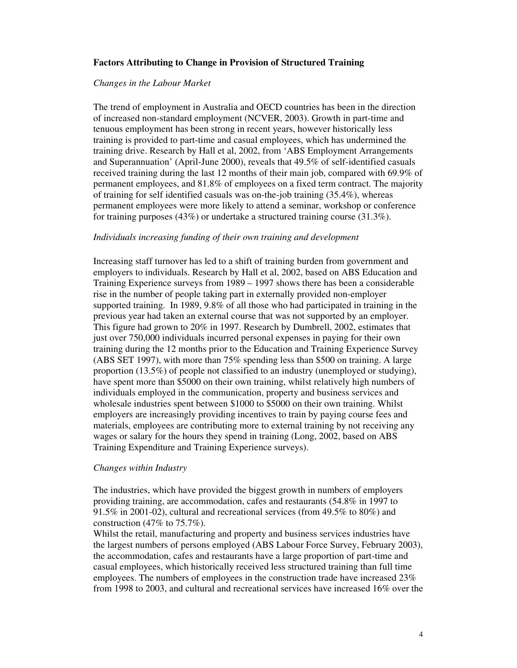### **Factors Attributing to Change in Provision of Structured Training**

#### *Changes in the Labour Market*

The trend of employment in Australia and OECD countries has been in the direction of increased non-standard employment (NCVER, 2003). Growth in part-time and tenuous employment has been strong in recent years, however historically less training is provided to part-time and casual employees, which has undermined the training drive. Research by Hall et al, 2002, from 'ABS Employment Arrangements and Superannuation' (April-June 2000), reveals that 49.5% of self-identified casuals received training during the last 12 months of their main job, compared with 69.9% of permanent employees, and 81.8% of employees on a fixed term contract. The majority of training for self identified casuals was on-the-job training (35.4%), whereas permanent employees were more likely to attend a seminar, workshop or conference for training purposes (43%) or undertake a structured training course (31.3%).

#### *Individuals increasing funding of their own training and development*

Increasing staff turnover has led to a shift of training burden from government and employers to individuals. Research by Hall et al, 2002, based on ABS Education and Training Experience surveys from 1989 – 1997 shows there has been a considerable rise in the number of people taking part in externally provided non-employer supported training. In 1989, 9.8% of all those who had participated in training in the previous year had taken an external course that was not supported by an employer. This figure had grown to 20% in 1997. Research by Dumbrell, 2002, estimates that just over 750,000 individuals incurred personal expenses in paying for their own training during the 12 months prior to the Education and Training Experience Survey (ABS SET 1997), with more than 75% spending less than \$500 on training. A large proportion (13.5%) of people not classified to an industry (unemployed or studying), have spent more than \$5000 on their own training, whilst relatively high numbers of individuals employed in the communication, property and business services and wholesale industries spent between \$1000 to \$5000 on their own training. Whilst employers are increasingly providing incentives to train by paying course fees and materials, employees are contributing more to external training by not receiving any wages or salary for the hours they spend in training (Long, 2002, based on ABS Training Expenditure and Training Experience surveys).

#### *Changes within Industry*

The industries, which have provided the biggest growth in numbers of employers providing training, are accommodation, cafes and restaurants (54.8% in 1997 to 91.5% in 2001-02), cultural and recreational services (from 49.5% to 80%) and construction (47% to  $75.7\%$ ).

Whilst the retail, manufacturing and property and business services industries have the largest numbers of persons employed (ABS Labour Force Survey, February 2003), the accommodation, cafes and restaurants have a large proportion of part-time and casual employees, which historically received less structured training than full time employees. The numbers of employees in the construction trade have increased 23% from 1998 to 2003, and cultural and recreational services have increased 16% over the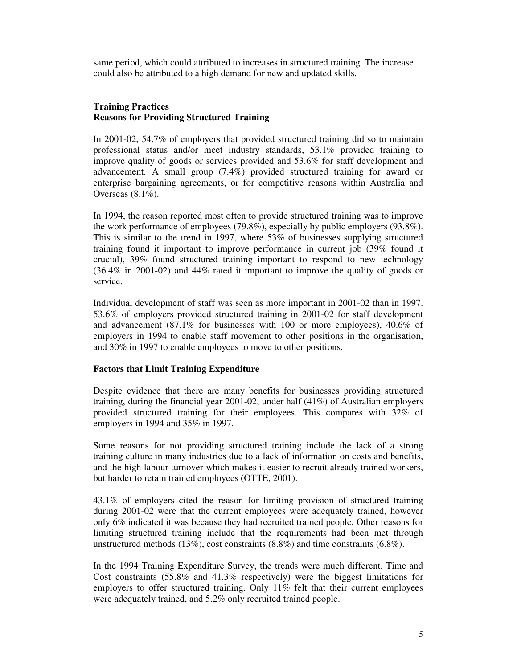same period, which could attributed to increases in structured training. The increase could also be attributed to a high demand for new and updated skills.

# **Training Practices Reasons for Providing Structured Training**

In 2001-02, 54.7% of employers that provided structured training did so to maintain professional status and/or meet industry standards, 53.1% provided training to improve quality of goods or services provided and 53.6% for staff development and advancement. A small group (7.4%) provided structured training for award or enterprise bargaining agreements, or for competitive reasons within Australia and Overseas (8.1%).

In 1994, the reason reported most often to provide structured training was to improve the work performance of employees (79.8%), especially by public employers (93.8%). This is similar to the trend in 1997, where 53% of businesses supplying structured training found it important to improve performance in current job (39% found it crucial), 39% found structured training important to respond to new technology (36.4% in 2001-02) and 44% rated it important to improve the quality of goods or service.

Individual development of staff was seen as more important in 2001-02 than in 1997. 53.6% of employers provided structured training in 2001-02 for staff development and advancement (87.1% for businesses with 100 or more employees), 40.6% of employers in 1994 to enable staff movement to other positions in the organisation, and 30% in 1997 to enable employees to move to other positions.

## **Factors that Limit Training Expenditure**

Despite evidence that there are many benefits for businesses providing structured training, during the financial year  $2001-02$ , under half  $(41\%)$  of Australian employers provided structured training for their employees. This compares with 32% of employers in 1994 and 35% in 1997.

Some reasons for not providing structured training include the lack of a strong training culture in many industries due to a lack of information on costs and benefits, and the high labour turnover which makes it easier to recruit already trained workers, but harder to retain trained employees (OTTE, 2001).

43.1% of employers cited the reason for limiting provision of structured training during 2001-02 were that the current employees were adequately trained, however only 6% indicated it was because they had recruited trained people. Other reasons for limiting structured training include that the requirements had been met through unstructured methods (13%), cost constraints (8.8%) and time constraints (6.8%).

In the 1994 Training Expenditure Survey, the trends were much different. Time and Cost constraints (55.8% and 41.3% respectively) were the biggest limitations for employers to offer structured training. Only  $11\%$  felt that their current employees were adequately trained, and 5.2% only recruited trained people.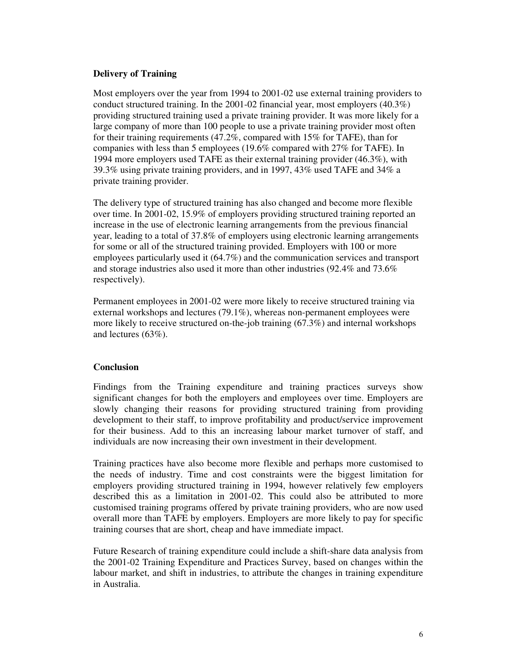### **Delivery of Training**

Most employers over the year from 1994 to 2001-02 use external training providers to conduct structured training. In the 2001-02 financial year, most employers (40.3%) providing structured training used a private training provider. It was more likely for a large company of more than 100 people to use a private training provider most often for their training requirements (47.2%, compared with 15% for TAFE), than for companies with less than 5 employees (19.6% compared with 27% for TAFE). In 1994 more employers used TAFE as their external training provider (46.3%), with 39.3% using private training providers, and in 1997, 43% used TAFE and 34% a private training provider.

The delivery type of structured training has also changed and become more flexible over time. In 2001-02, 15.9% of employers providing structured training reported an increase in the use of electronic learning arrangements from the previous financial year, leading to a total of 37.8% of employers using electronic learning arrangements for some or all of the structured training provided. Employers with 100 or more employees particularly used it (64.7%) and the communication services and transport and storage industries also used it more than other industries (92.4% and 73.6% respectively).

Permanent employees in 2001-02 were more likely to receive structured training via external workshops and lectures (79.1%), whereas non-permanent employees were more likely to receive structured on-the-job training (67.3%) and internal workshops and lectures (63%).

#### **Conclusion**

Findings from the Training expenditure and training practices surveys show significant changes for both the employers and employees over time. Employers are slowly changing their reasons for providing structured training from providing development to their staff, to improve profitability and product/service improvement for their business. Add to this an increasing labour market turnover of staff, and individuals are now increasing their own investment in their development.

Training practices have also become more flexible and perhaps more customised to the needs of industry. Time and cost constraints were the biggest limitation for employers providing structured training in 1994, however relatively few employers described this as a limitation in 2001-02. This could also be attributed to more customised training programs offered by private training providers, who are now used overall more than TAFE by employers. Employers are more likely to pay for specific training courses that are short, cheap and have immediate impact.

Future Research of training expenditure could include a shift-share data analysis from the 2001-02 Training Expenditure and Practices Survey, based on changes within the labour market, and shift in industries, to attribute the changes in training expenditure in Australia.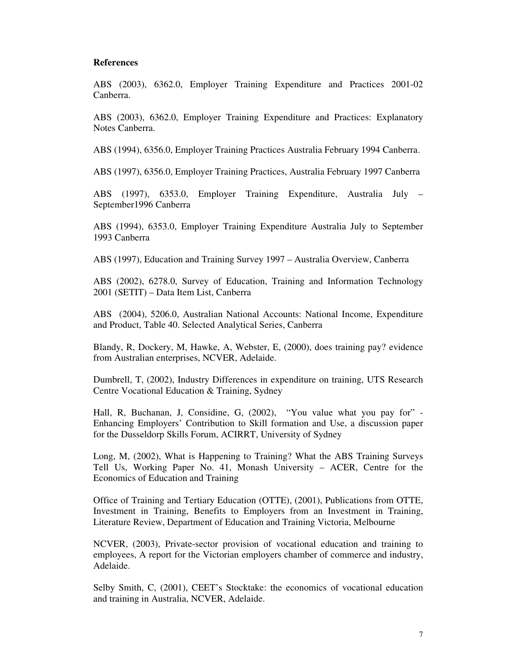#### **References**

ABS (2003), 6362.0, Employer Training Expenditure and Practices 2001-02 Canberra.

ABS (2003), 6362.0, Employer Training Expenditure and Practices: Explanatory Notes Canberra.

ABS (1994), 6356.0, Employer Training Practices Australia February 1994 Canberra.

ABS (1997), 6356.0, Employer Training Practices, Australia February 1997 Canberra

ABS (1997), 6353.0, Employer Training Expenditure, Australia July – September1996 Canberra

ABS (1994), 6353.0, Employer Training Expenditure Australia July to September 1993 Canberra

ABS (1997), Education and Training Survey 1997 – Australia Overview, Canberra

ABS (2002), 6278.0, Survey of Education, Training and Information Technology 2001 (SETIT) – Data Item List, Canberra

ABS (2004), 5206.0, Australian National Accounts: National Income, Expenditure and Product, Table 40. Selected Analytical Series, Canberra

Blandy, R, Dockery, M, Hawke, A, Webster, E, (2000), does training pay? evidence from Australian enterprises, NCVER, Adelaide.

Dumbrell, T, (2002), Industry Differences in expenditure on training, UTS Research Centre Vocational Education & Training, Sydney

Hall, R, Buchanan, J, Considine, G, (2002), "You value what you pay for" -Enhancing Employers' Contribution to Skill formation and Use, a discussion paper for the Dusseldorp Skills Forum, ACIRRT, University of Sydney

Long, M, (2002), What is Happening to Training? What the ABS Training Surveys Tell Us, Working Paper No. 41, Monash University – ACER, Centre for the Economics of Education and Training

Office of Training and Tertiary Education (OTTE), (2001), Publications from OTTE, Investment in Training, Benefits to Employers from an Investment in Training, Literature Review, Department of Education and Training Victoria, Melbourne

NCVER, (2003), Private-sector provision of vocational education and training to employees, A report for the Victorian employers chamber of commerce and industry, Adelaide.

Selby Smith, C, (2001), CEET's Stocktake: the economics of vocational education and training in Australia, NCVER, Adelaide.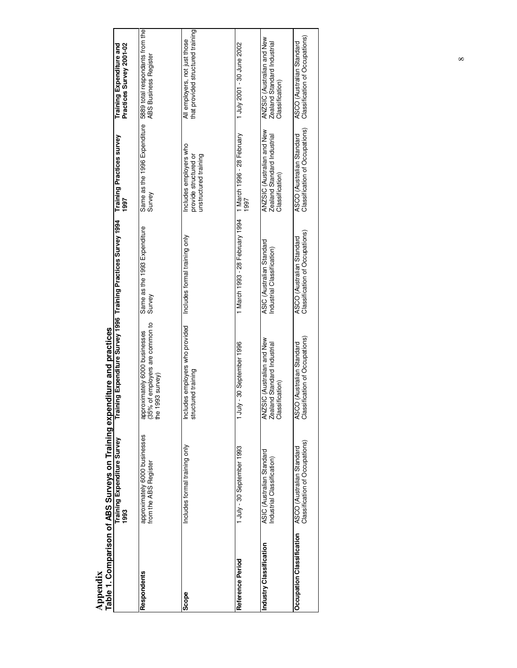|                           | Table 1. Comparison of ABS Surveys on Training exper        | nditure and practices                                                                                           |                                                             |                                                                             |                                                                              |
|---------------------------|-------------------------------------------------------------|-----------------------------------------------------------------------------------------------------------------|-------------------------------------------------------------|-----------------------------------------------------------------------------|------------------------------------------------------------------------------|
|                           | Training Expenditure Survey<br>1993                         | Training Expenditure Survey 1996 Training Practices Survey 1994                                                 |                                                             | Training Practices survey<br>1997                                           | Practices Survey 2001-02<br>Training Expenditure and                         |
| Respondents               | approximately 6000 businesses<br>from the ABS Register      | of employers are common to<br>approximately 6000 businesses<br>(35% of employers are common<br>the 1993 survey) | Same as the 1993 Expenditure<br>Survey                      | Same as the 1996 Expenditure<br>Survey                                      | 5889 total respondants from the<br><b>ABS Business Register</b>              |
| Scope                     | Includes formal training only                               | Includes employers who provided<br>structured training                                                          | Includes formal training only                               | Includes employers who<br>unstructured training<br>provide structured or    | that provided structured training<br>All employers, not just those           |
| Reference Period          | 1 July - 30 September 1993                                  | -30 September 1996<br>n<br>T<br>T                                                                               | 1 March 1993 - 28 February 1994                             | 1 March 1996 - 28 February<br>1997                                          | 1 July 2001 - 30 June 2002                                                   |
| Industry Classification   | ASIC (Australian Standard<br>Industrial Classification)     | ANZSIC (Australian and New<br>Zealand Standard Industrial<br>Classification                                     | ASIC (Australian Standard<br>Industrial Classification)     | ANZSIC (Australian and New<br>Zealand Standard Industrial<br>Classification | ANZSIC (Australian and New<br>Zealand Standard Industrial<br>Classification) |
| Occupation Classification | Classification of Occupations)<br>ASCO (Australian Standard | Classification of Occupations)<br>ASCO (Australian Standard                                                     | Classification of Occupations)<br>ASCO (Australian Standard | Classification of Occupations)<br>ASCO (Australian Standard                 | Classification of Occupations)<br>ASCO (Australian Standard                  |

**Appendix**

 $^{\infty}$